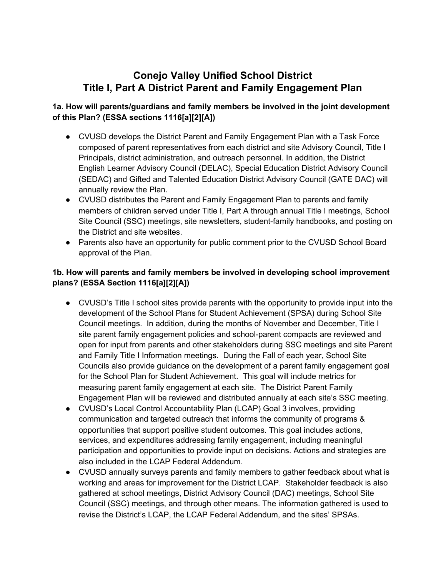# **Conejo Valley Unified School District Title I, Part A District Parent and Family Engagement Plan**

# **1a. How will parents/guardians and family members be involved in the joint development of this Plan? (ESSA sections 1116[a][2][A])**

- CVUSD develops the District Parent and Family Engagement Plan with a Task Force composed of parent representatives from each district and site Advisory Council, Title I Principals, district administration, and outreach personnel. In addition, the District English Learner Advisory Council (DELAC), Special Education District Advisory Council (SEDAC) and Gifted and Talented Education District Advisory Council (GATE DAC) will annually review the Plan.
- CVUSD distributes the Parent and Family Engagement Plan to parents and family members of children served under Title I, Part A through annual Title I meetings, School Site Council (SSC) meetings, site newsletters, student-family handbooks, and posting on the District and site websites.
- Parents also have an opportunity for public comment prior to the CVUSD School Board approval of the Plan.

## **1b. How will parents and family members be involved in developing school improvement plans? (ESSA Section 1116[a][2][A])**

- CVUSD's Title I school sites provide parents with the opportunity to provide input into the development of the School Plans for Student Achievement (SPSA) during School Site Council meetings. In addition, during the months of November and December, Title I site parent family engagement policies and school-parent compacts are reviewed and open for input from parents and other stakeholders during SSC meetings and site Parent and Family Title I Information meetings. During the Fall of each year, School Site Councils also provide guidance on the development of a parent family engagement goal for the School Plan for Student Achievement. This goal will include metrics for measuring parent family engagement at each site. The District Parent Family Engagement Plan will be reviewed and distributed annually at each site's SSC meeting.
- CVUSD's Local Control Accountability Plan (LCAP) Goal 3 involves, providing communication and targeted outreach that informs the community of programs & opportunities that support positive student outcomes*.* This goal includes actions, services, and expenditures addressing family engagement, including meaningful participation and opportunities to provide input on decisions. Actions and strategies are also included in the LCAP Federal Addendum.
- CVUSD annually surveys parents and family members to gather feedback about what is working and areas for improvement for the District LCAP. Stakeholder feedback is also gathered at school meetings, District Advisory Council (DAC) meetings, School Site Council (SSC) meetings, and through other means. The information gathered is used to revise the District's LCAP, the LCAP Federal Addendum, and the sites' SPSAs.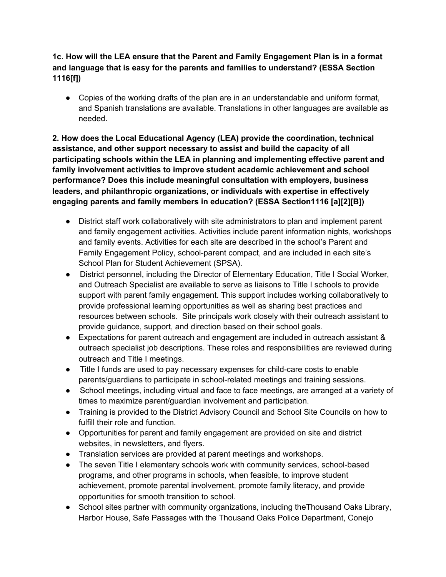### **1c. How will the LEA ensure that the Parent and Family Engagement Plan is in a format and language that is easy for the parents and families to understand? (ESSA Section 1116[f])**

• Copies of the working drafts of the plan are in an understandable and uniform format, and Spanish translations are available. Translations in other languages are available as needed.

**2. How does the Local Educational Agency (LEA) provide the coordination, technical assistance, and other support necessary to assist and build the capacity of all participating schools within the LEA in planning and implementing effective parent and family involvement activities to improve student academic achievement and school performance? Does this include meaningful consultation with employers, business leaders, and philanthropic organizations, or individuals with expertise in effectively engaging parents and family members in education? (ESSA Section1116 [a][2][B])**

- District staff work collaboratively with site administrators to plan and implement parent and family engagement activities. Activities include parent information nights, workshops and family events. Activities for each site are described in the school's Parent and Family Engagement Policy, school-parent compact, and are included in each site's School Plan for Student Achievement (SPSA).
- District personnel, including the Director of Elementary Education, Title I Social Worker, and Outreach Specialist are available to serve as liaisons to Title I schools to provide support with parent family engagement. This support includes working collaboratively to provide professional learning opportunities as well as sharing best practices and resources between schools. Site principals work closely with their outreach assistant to provide guidance, support, and direction based on their school goals.
- Expectations for parent outreach and engagement are included in outreach assistant & outreach specialist job descriptions. These roles and responsibilities are reviewed during outreach and Title I meetings.
- Title I funds are used to pay necessary expenses for child-care costs to enable parents/guardians to participate in school-related meetings and training sessions.
- School meetings, including virtual and face to face meetings, are arranged at a variety of times to maximize parent/guardian involvement and participation.
- Training is provided to the District Advisory Council and School Site Councils on how to fulfill their role and function.
- Opportunities for parent and family engagement are provided on site and district websites, in newsletters, and flyers.
- Translation services are provided at parent meetings and workshops.
- The seven Title I elementary schools work with community services, school-based programs, and other programs in schools, when feasible, to improve student achievement, promote parental involvement, promote family literacy, and provide opportunities for smooth transition to school.
- School sites partner with community organizations, including the Thousand Oaks Library, Harbor House, Safe Passages with the Thousand Oaks Police Department, Conejo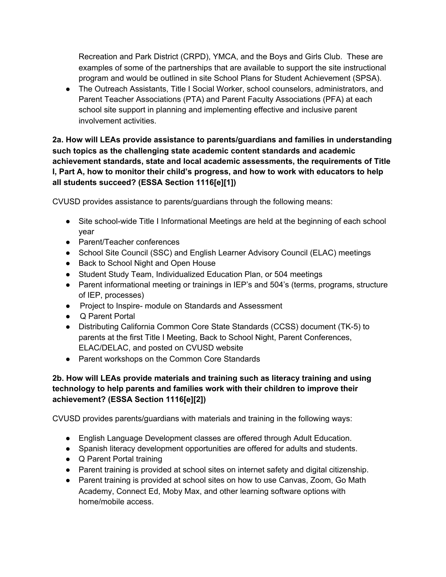Recreation and Park District (CRPD), YMCA, and the Boys and Girls Club. These are examples of some of the partnerships that are available to support the site instructional program and would be outlined in site School Plans for Student Achievement (SPSA).

● The Outreach Assistants, Title I Social Worker, school counselors, administrators, and Parent Teacher Associations (PTA) and Parent Faculty Associations (PFA) at each school site support in planning and implementing effective and inclusive parent involvement activities.

**2a. How will LEAs provide assistance to parents/guardians and families in understanding such topics as the challenging state academic content standards and academic achievement standards, state and local academic assessments, the requirements of Title I, Part A, how to monitor their child's progress, and how to work with educators to help all students succeed? (ESSA Section 1116[e][1])**

CVUSD provides assistance to parents/guardians through the following means:

- Site school-wide Title I Informational Meetings are held at the beginning of each school year
- Parent/Teacher conferences
- School Site Council (SSC) and English Learner Advisory Council (ELAC) meetings
- Back to School Night and Open House
- Student Study Team, Individualized Education Plan, or 504 meetings
- Parent informational meeting or trainings in IEP's and 504's (terms, programs, structure of IEP, processes)
- Project to Inspire- module on Standards and Assessment
- Q Parent Portal
- Distributing California Common Core State Standards (CCSS) document (TK-5) to parents at the first Title I Meeting, Back to School Night, Parent Conferences, ELAC/DELAC, and posted on CVUSD website
- Parent workshops on the Common Core Standards

#### **2b. How will LEAs provide materials and training such as literacy training and using technology to help parents and families work with their children to improve their achievement? (ESSA Section 1116[e][2])**

CVUSD provides parents/guardians with materials and training in the following ways:

- English Language Development classes are offered through Adult Education.
- Spanish literacy development opportunities are offered for adults and students.
- Q Parent Portal training
- Parent training is provided at school sites on internet safety and digital citizenship.
- Parent training is provided at school sites on how to use Canvas, Zoom, Go Math Academy, Connect Ed, Moby Max, and other learning software options with home/mobile access.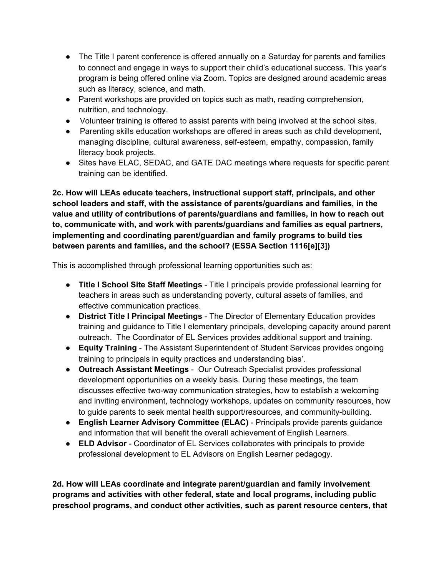- The Title I parent conference is offered annually on a Saturday for parents and families to connect and engage in ways to support their child's educational success. This year's program is being offered online via Zoom. Topics are designed around academic areas such as literacy, science, and math.
- Parent workshops are provided on topics such as math, reading comprehension, nutrition, and technology.
- Volunteer training is offered to assist parents with being involved at the school sites.
- Parenting skills education workshops are offered in areas such as child development, managing discipline, cultural awareness, self-esteem, empathy, compassion, family literacy book projects.
- Sites have ELAC, SEDAC, and GATE DAC meetings where requests for specific parent training can be identified.

**2c. How will LEAs educate teachers, instructional support staff, principals, and other school leaders and staff, with the assistance of parents/guardians and families, in the value and utility of contributions of parents/guardians and families, in how to reach out to, communicate with, and work with parents/guardians and families as equal partners, implementing and coordinating parent/guardian and family programs to build ties between parents and families, and the school? (ESSA Section 1116[e][3])**

This is accomplished through professional learning opportunities such as:

- **Title I School Site Staff Meetings** Title I principals provide professional learning for teachers in areas such as understanding poverty, cultural assets of families, and effective communication practices.
- **District Title I Principal Meetings** The Director of Elementary Education provides training and guidance to Title I elementary principals, developing capacity around parent outreach. The Coordinator of EL Services provides additional support and training.
- **Equity Training** The Assistant Superintendent of Student Services provides ongoing training to principals in equity practices and understanding bias'.
- **Outreach Assistant Meetings** Our Outreach Specialist provides professional development opportunities on a weekly basis. During these meetings, the team discusses effective two-way communication strategies, how to establish a welcoming and inviting environment, technology workshops, updates on community resources, how to guide parents to seek mental health support/resources, and community-building.
- **English Learner Advisory Committee (ELAC)** Principals provide parents guidance and information that will benefit the overall achievement of English Learners.
- **● ELD Advisor** Coordinator of EL Services collaborates with principals to provide professional development to EL Advisors on English Learner pedagogy.

**2d. How will LEAs coordinate and integrate parent/guardian and family involvement programs and activities with other federal, state and local programs, including public preschool programs, and conduct other activities, such as parent resource centers, that**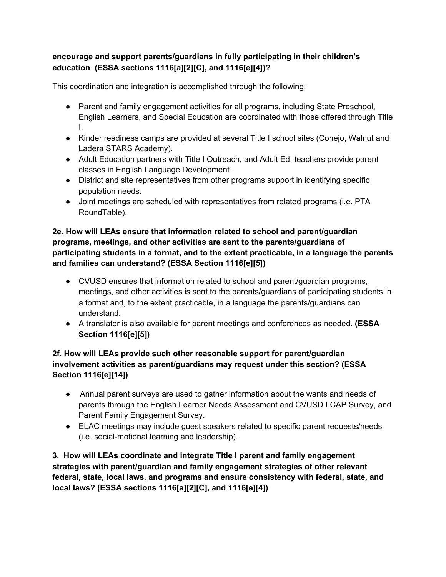# **encourage and support parents/guardians in fully participating in their children's education (ESSA sections 1116[a][2][C], and 1116[e][4])?**

This coordination and integration is accomplished through the following:

- Parent and family engagement activities for all programs, including State Preschool, English Learners, and Special Education are coordinated with those offered through Title I.
- Kinder readiness camps are provided at several Title I school sites (Conejo, Walnut and Ladera STARS Academy).
- Adult Education partners with Title I Outreach, and Adult Ed. teachers provide parent classes in English Language Development.
- District and site representatives from other programs support in identifying specific population needs.
- Joint meetings are scheduled with representatives from related programs (i.e. PTA RoundTable).

#### **2e. How will LEAs ensure that information related to school and parent/guardian programs, meetings, and other activities are sent to the parents/guardians of participating students in a format, and to the extent practicable, in a language the parents and families can understand? (ESSA Section 1116[e][5])**

- CVUSD ensures that information related to school and parent/guardian programs, meetings, and other activities is sent to the parents/guardians of participating students in a format and, to the extent practicable, in a language the parents/guardians can understand.
- A translator is also available for parent meetings and conferences as needed. **(ESSA Section 1116[e][5])**

# **2f. How will LEAs provide such other reasonable support for parent/guardian involvement activities as parent/guardians may request under this section? (ESSA Section 1116[e][14])**

- Annual parent surveys are used to gather information about the wants and needs of parents through the English Learner Needs Assessment and CVUSD LCAP Survey, and Parent Family Engagement Survey.
- ELAC meetings may include guest speakers related to specific parent requests/needs (i.e. social-motional learning and leadership).

**3. How will LEAs coordinate and integrate Title I parent and family engagement strategies with parent/guardian and family engagement strategies of other relevant federal, state, local laws, and programs and ensure consistency with federal, state, and local laws? (ESSA sections 1116[a][2][C], and 1116[e][4])**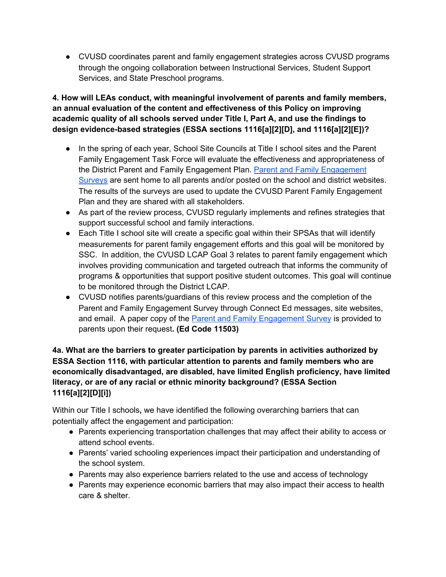● CVUSD coordinates parent and family engagement strategies across CVUSD programs through the ongoing collaboration between Instructional Services, Student Support Services, and State Preschool programs.

#### **4. How will LEAs conduct, with meaningful involvement of parents and family members, an annual evaluation of the content and effectiveness of this Policy on improving academic quality of all schools served under Title I, Part A, and use the findings to design evidence-based strategies (ESSA sections 1116[a][2][D], and 1116[a][2][E])?**

- In the spring of each year, School Site Councils at Title I school sites and the Parent Family Engagement Task Force will evaluate the effectiveness and appropriateness of the District Parent and Family Engagement Plan. Parent and Family [Engagement](https://docs.google.com/document/d/1DwuiRPR0Fk_eR6fjukT7Shavux5Zas9-sHPyWuNp6rw/edit) [Surveys](https://docs.google.com/document/d/1DwuiRPR0Fk_eR6fjukT7Shavux5Zas9-sHPyWuNp6rw/edit) are sent home to all parents and/or posted on the school and district websites. The results of the surveys are used to update the CVUSD Parent Family Engagement Plan and they are shared with all stakeholders.
- As part of the review process, CVUSD regularly implements and refines strategies that support successful school and family interactions.
- Each Title I school site will create a specific goal within their SPSAs that will identify measurements for parent family engagement efforts and this goal will be monitored by SSC. In addition, the CVUSD LCAP Goal 3 relates to parent family engagement which involves providing communication and targeted outreach that informs the community of programs & opportunities that support positive student outcomes. This goal will continue to be monitored through the District LCAP.
- CVUSD notifies parents/guardians of this review process and the completion of the Parent and Family Engagement Survey through Connect Ed messages, site websites, and email. A paper copy of the Parent and Family [Engagement](https://docs.google.com/document/d/1DwuiRPR0Fk_eR6fjukT7Shavux5Zas9-sHPyWuNp6rw/edit) Survey is provided to parents upon their request**. (Ed Code 11503)**

## **4a. What are the barriers to greater participation by parents in activities authorized by ESSA Section 1116, with particular attention to parents and family members who are economically disadvantaged, are disabled, have limited English proficiency, have limited literacy, or are of any racial or ethnic minority background? (ESSA Section 1116[a][2][D][i])**

Within our Title I schools**,** we have identified the following overarching barriers that can potentially affect the engagement and participation:

- **●** Parents experiencing transportation challenges that may affect their ability to access or attend school events.
- **●** Parents' varied schooling experiences impact their participation and understanding of the school system.
- Parents may also experience barriers related to the use and access of technology
- Parents may experience economic barriers that may also impact their access to health care & shelter.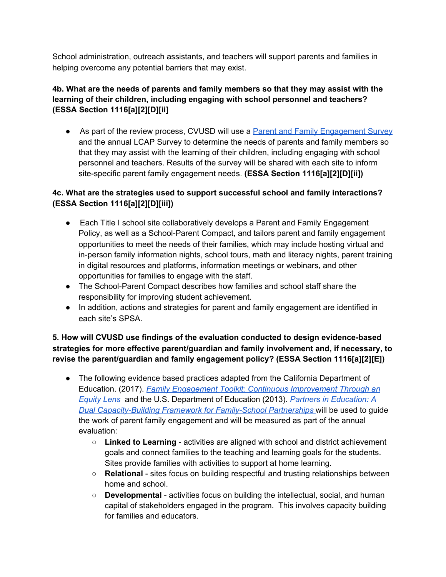School administration, outreach assistants, and teachers will support parents and families in helping overcome any potential barriers that may exist.

#### **4b. What are the needs of parents and family members so that they may assist with the learning of their children, including engaging with school personnel and teachers? (ESSA Section 1116[a][2][D][ii]**

• As part of the review process, CVUSD will use a **Parent and Family [Engagement](https://docs.google.com/document/d/1DwuiRPR0Fk_eR6fjukT7Shavux5Zas9-sHPyWuNp6rw/edit) Survey** and the annual LCAP Survey to determine the needs of parents and family members so that they may assist with the learning of their children, including engaging with school personnel and teachers. Results of the survey will be shared with each site to inform site-specific parent family engagement needs. **(ESSA Section 1116[a][2][D][ii])**

# **4c. What are the strategies used to support successful school and family interactions? (ESSA Section 1116[a][2][D][iii])**

- Each Title I school site collaboratively develops a Parent and Family Engagement Policy, as well as a School-Parent Compact, and tailors parent and family engagement opportunities to meet the needs of their families, which may include hosting virtual and in-person family information nights, school tours, math and literacy nights, parent training in digital resources and platforms, information meetings or webinars, and other opportunities for families to engage with the staff.
- The School-Parent Compact describes how families and school staff share the responsibility for improving student achievement.
- In addition, actions and strategies for parent and family engagement are identified in each site's SPSA.

### **5. How will CVUSD use findings of the evaluation conducted to design evidence-based strategies for more effective parent/guardian and family involvement and, if necessary, to revise the parent/guardian and family engagement policy? (ESSA Section 1116[a][2][E])**

- The following evidence based practices adapted from the California Department of Education. (2017). *Family Engagement Toolkit: Continuous [Improvement](https://www.cde.ca.gov/fg/aa/lc/documents/family-engagement.pdf) Through an [Equity](https://www.cde.ca.gov/fg/aa/lc/documents/family-engagement.pdf) Lens* and the U.S. Department of Education (2013). *Partners in [Education:](https://sedl.org/pubs/framework/FE-Cap-Building.pdf) A Dual [Capacity-Building](https://sedl.org/pubs/framework/FE-Cap-Building.pdf) Framework for Family-School Partnership[s](https://sedl.org/pubs/framework/FE-Cap-Building.pdf)* will be used to guide the work of parent family engagement and will be measured as part of the annual evaluation:
	- **Linked to Learning** activities are aligned with school and district achievement goals and connect families to the teaching and learning goals for the students. Sites provide families with activities to support at home learning.
	- **Relational** sites focus on building respectful and trusting relationships between home and school.
	- **Developmental** activities focus on building the intellectual, social, and human capital of stakeholders engaged in the program. This involves capacity building for families and educators.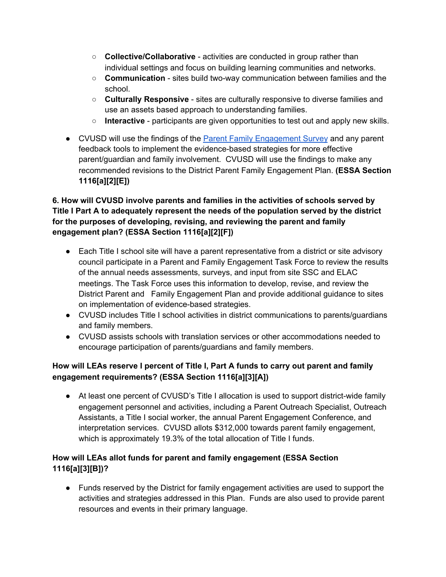- **Collective/Collaborative** activities are conducted in group rather than individual settings and focus on building learning communities and networks.
- **Communication** sites build two-way communication between families and the school.
- **Culturally Responsive** sites are culturally responsive to diverse families and use an assets based approach to understanding families.
- **Interactive** participants are given opportunities to test out and apply new skills.
- CVUSD will use the findings of the Parent Family [Engagement](https://docs.google.com/document/d/1DwuiRPR0Fk_eR6fjukT7Shavux5Zas9-sHPyWuNp6rw/edit) Survey and any parent feedback tools to implement the evidence-based strategies for more effective parent/guardian and family involvement. CVUSD will use the findings to make any recommended revisions to the District Parent Family Engagement Plan. **(ESSA Section 1116[a][2][E])**

# **6. How will CVUSD involve parents and families in the activities of schools served by Title I Part A to adequately represent the needs of the population served by the district for the purposes of developing, revising, and reviewing the parent and family engagement plan? (ESSA Section 1116[a][2][F])**

- Each Title I school site will have a parent representative from a district or site advisory council participate in a Parent and Family Engagement Task Force to review the results of the annual needs assessments, surveys, and input from site SSC and ELAC meetings. The Task Force uses this information to develop, revise, and review the District Parent and Family Engagement Plan and provide additional guidance to sites on implementation of evidence-based strategies.
- CVUSD includes Title I school activities in district communications to parents/guardians and family members.
- CVUSD assists schools with translation services or other accommodations needed to encourage participation of parents/guardians and family members.

# **How will LEAs reserve I percent of Title I, Part A funds to carry out parent and family engagement requirements? (ESSA Section 1116[a][3][A])**

● At least one percent of CVUSD's Title I allocation is used to support district-wide family engagement personnel and activities, including a Parent Outreach Specialist, Outreach Assistants, a Title I social worker, the annual Parent Engagement Conference, and interpretation services. CVUSD allots \$312,000 towards parent family engagement, which is approximately 19.3% of the total allocation of Title I funds.

# **How will LEAs allot funds for parent and family engagement (ESSA Section 1116[a][3][B])?**

● Funds reserved by the District for family engagement activities are used to support the activities and strategies addressed in this Plan. Funds are also used to provide parent resources and events in their primary language.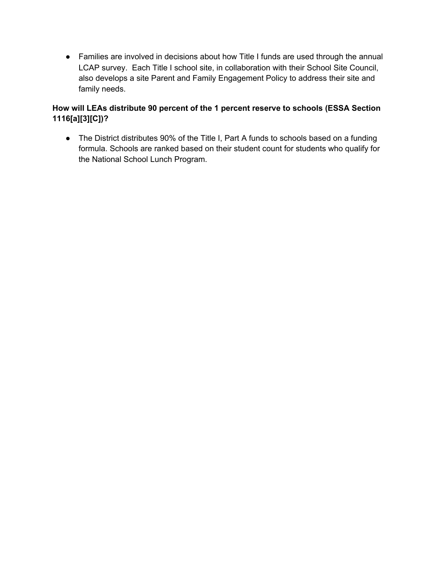● Families are involved in decisions about how Title I funds are used through the annual LCAP survey. Each Title I school site, in collaboration with their School Site Council, also develops a site Parent and Family Engagement Policy to address their site and family needs.

## **How will LEAs distribute 90 percent of the 1 percent reserve to schools (ESSA Section 1116[a][3][C])?**

● The District distributes 90% of the Title I, Part A funds to schools based on a funding formula. Schools are ranked based on their student count for students who qualify for the National School Lunch Program.